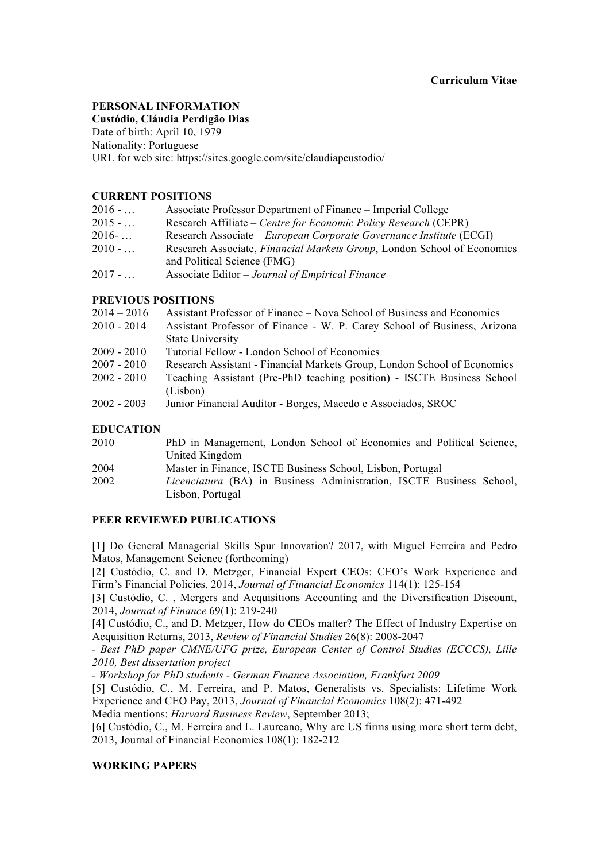# **PERSONAL INFORMATION**

**Custódio, Cláudia Perdigão Dias** 

Date of birth: April 10, 1979 Nationality: Portuguese URL for web site: https://sites.google.com/site/claudiapcustodio/

# **CURRENT POSITIONS**

| $2016 - $ | Associate Professor Department of Finance – Imperial College    |
|-----------|-----------------------------------------------------------------|
| $2015 - $ | Research Affiliate – Centre for Economic Policy Research (CEPR) |

- 2016- … Research Associate *European Corporate Governance Institute* (ECGI)
- 2010 … Research Associate, *Financial Markets Group*, London School of Economics and Political Science (FMG)
- 2017 … Associate Editor *Journal of Empirical Finance*

# **PREVIOUS POSITIONS**

| $2014 - 2016$    | Assistant Professor of Finance – Nova School of Business and Economics   |
|------------------|--------------------------------------------------------------------------|
| $2010 - 2014$    | Assistant Professor of Finance - W. P. Carey School of Business, Arizona |
|                  | <b>State University</b>                                                  |
| $2009 - 2010$    | Tutorial Fellow - London School of Economics                             |
| $2007 - 2010$    | Research Assistant - Financial Markets Group, London School of Economics |
| $2002 - 2010$    | Teaching Assistant (Pre-PhD teaching position) - ISCTE Business School   |
|                  | (Lisbon)                                                                 |
| $2002 - 2003$    | Junior Financial Auditor - Borges, Macedo e Associados, SROC             |
|                  |                                                                          |
| <b>EDUCATION</b> |                                                                          |
| 2010             | PhD in Management London School of Feonomics and Political Science       |

| 2010 | PhD in Management, London School of Economics and Political Science,        |  |  |  |  |  |
|------|-----------------------------------------------------------------------------|--|--|--|--|--|
|      | United Kingdom                                                              |  |  |  |  |  |
| 2004 | Master in Finance, ISCTE Business School, Lisbon, Portugal                  |  |  |  |  |  |
| 2002 | <i>Licenciatura</i> (BA) in Business Administration, ISCTE Business School, |  |  |  |  |  |
|      | Lisbon, Portugal                                                            |  |  |  |  |  |

# **PEER REVIEWED PUBLICATIONS**

[1] Do General Managerial Skills Spur Innovation? 2017, with Miguel Ferreira and Pedro Matos, Management Science (forthcoming)

[2] Custódio, C. and D. Metzger, Financial Expert CEOs: CEO's Work Experience and Firm's Financial Policies, 2014, *Journal of Financial Economics* 114(1): 125-154

[3] Custódio, C. , Mergers and Acquisitions Accounting and the Diversification Discount, 2014, *Journal of Finance* 69(1): 219-240

[4] Custódio, C., and D. Metzger, How do CEOs matter? The Effect of Industry Expertise on Acquisition Returns, 2013, *Review of Financial Studies* 26(8): 2008-2047

*- Best PhD paper CMNE/UFG prize, European Center of Control Studies (ECCCS), Lille 2010, Best dissertation project* 

*- Workshop for PhD students - German Finance Association, Frankfurt 2009*

[5] Custódio, C., M. Ferreira, and P. Matos, Generalists vs. Specialists: Lifetime Work Experience and CEO Pay, 2013, *Journal of Financial Economics* 108(2): 471-492

Media mentions: *Harvard Business Review*, September 2013;

[6] Custódio, C., M. Ferreira and L. Laureano, Why are US firms using more short term debt, 2013, Journal of Financial Economics 108(1): 182-212

# **WORKING PAPERS**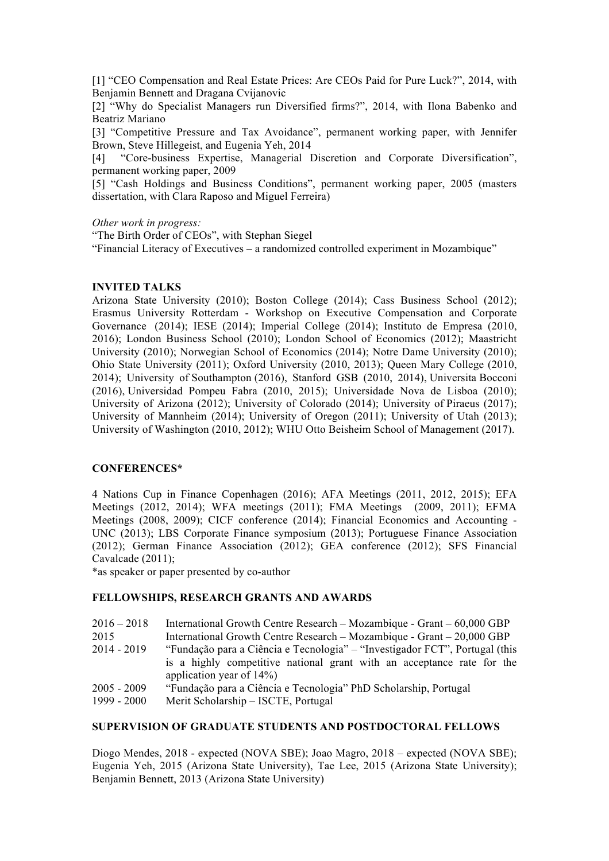[1] "CEO Compensation and Real Estate Prices: Are CEOs Paid for Pure Luck?", 2014, with Benjamin Bennett and Dragana Cvijanovic

[2] "Why do Specialist Managers run Diversified firms?", 2014, with Ilona Babenko and Beatriz Mariano

[3] "Competitive Pressure and Tax Avoidance", permanent working paper, with Jennifer Brown, Steve Hillegeist, and Eugenia Yeh, 2014

[4] "Core-business Expertise, Managerial Discretion and Corporate Diversification", permanent working paper, 2009

[5] "Cash Holdings and Business Conditions", permanent working paper, 2005 (masters dissertation, with Clara Raposo and Miguel Ferreira)

*Other work in progress:*

"The Birth Order of CEOs", with Stephan Siegel

"Financial Literacy of Executives – a randomized controlled experiment in Mozambique"

#### **INVITED TALKS**

Arizona State University (2010); Boston College (2014); Cass Business School (2012); Erasmus University Rotterdam - Workshop on Executive Compensation and Corporate Governance (2014); IESE (2014); Imperial College (2014); Instituto de Empresa (2010, 2016); London Business School (2010); London School of Economics (2012); Maastricht University (2010); Norwegian School of Economics (2014); Notre Dame University (2010); Ohio State University (2011); Oxford University (2010, 2013); Queen Mary College (2010, 2014); University of Southampton (2016), Stanford GSB (2010, 2014), Universita Bocconi (2016), Universidad Pompeu Fabra (2010, 2015); Universidade Nova de Lisboa (2010); University of Arizona (2012); University of Colorado (2014); University of Piraeus (2017); University of Mannheim (2014); University of Oregon (2011); University of Utah (2013); University of Washington (2010, 2012); WHU Otto Beisheim School of Management (2017).

#### **CONFERENCES\***

4 Nations Cup in Finance Copenhagen (2016); AFA Meetings (2011, 2012, 2015); EFA Meetings (2012, 2014); WFA meetings (2011); FMA Meetings (2009, 2011); EFMA Meetings (2008, 2009); CICF conference (2014); Financial Economics and Accounting - UNC (2013); LBS Corporate Finance symposium (2013); Portuguese Finance Association (2012); German Finance Association (2012); GEA conference (2012); SFS Financial Cavalcade (2011);

\*as speaker or paper presented by co-author

#### **FELLOWSHIPS, RESEARCH GRANTS AND AWARDS**

| 2016 – 2018 International Growth Centre Research – Mozambique - Grant – 60,000 GBP |  |  |  |  |  |
|------------------------------------------------------------------------------------|--|--|--|--|--|
|------------------------------------------------------------------------------------|--|--|--|--|--|

- 2015 International Growth Centre Research Mozambique Grant 20,000 GBP
- 2014 2019 "Fundação para a Ciência e Tecnologia" "Investigador FCT", Portugal (this is a highly competitive national grant with an acceptance rate for the application year of 14%)
- 2005 2009 "Fundação para a Ciência e Tecnologia" PhD Scholarship, Portugal
- 1999 2000 Merit Scholarship ISCTE, Portugal

# **SUPERVISION OF GRADUATE STUDENTS AND POSTDOCTORAL FELLOWS**

Diogo Mendes, 2018 - expected (NOVA SBE); Joao Magro, 2018 – expected (NOVA SBE); Eugenia Yeh, 2015 (Arizona State University), Tae Lee, 2015 (Arizona State University); Benjamin Bennett, 2013 (Arizona State University)